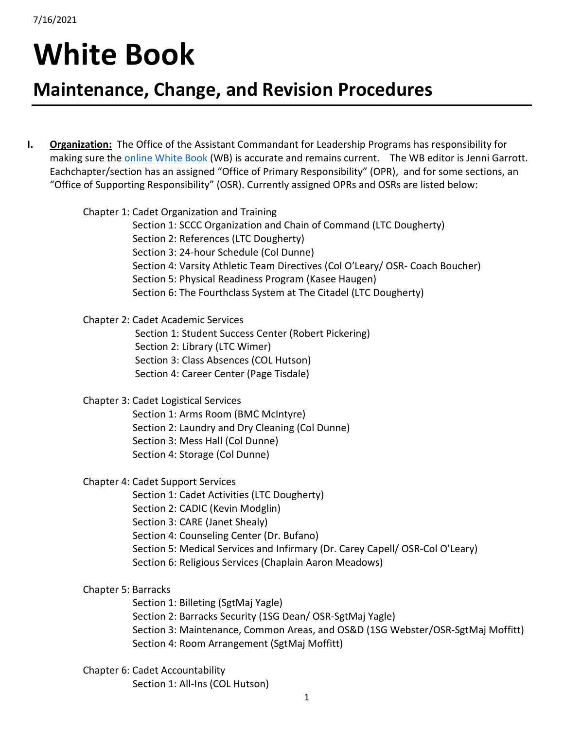## **White Book**

## **Maintenance, Change, and Revision Procedures**

**I. Organization:** The Office of the Assistant Commandant for Leadership Programs has responsibility for making sure the [online White Book](https://www.citadel.edu/root/cadet-regulations/the-white-book) (WB) is accurate and remains current. The WB editor is Jenni Garrott. Eachchapter/section has an assigned "Office of Primary Responsibility" (OPR), and for some sections, an "Office of Supporting Responsibility" (OSR). Currently assigned OPRs and OSRs are listed below:

| Chapter 1: Cadet Organization and Training<br>Section 1: SCCC Organization and Chain of Command (LTC Dougherty)<br>Section 2: References (LTC Dougherty)<br>Section 3: 24-hour Schedule (Col Dunne)<br>Section 4: Varsity Athletic Team Directives (Col O'Leary/ OSR- Coach Boucher) |
|--------------------------------------------------------------------------------------------------------------------------------------------------------------------------------------------------------------------------------------------------------------------------------------|
| Section 5: Physical Readiness Program (Kasee Haugen)<br>Section 6: The Fourthclass System at The Citadel (LTC Dougherty)                                                                                                                                                             |
| <b>Chapter 2: Cadet Academic Services</b>                                                                                                                                                                                                                                            |
| Section 1: Student Success Center (Robert Pickering)                                                                                                                                                                                                                                 |
| Section 2: Library (LTC Wimer)                                                                                                                                                                                                                                                       |
| Section 3: Class Absences (COL Hutson)                                                                                                                                                                                                                                               |
| Section 4: Career Center (Page Tisdale)                                                                                                                                                                                                                                              |
| <b>Chapter 3: Cadet Logistical Services</b>                                                                                                                                                                                                                                          |
| Section 1: Arms Room (BMC McIntyre)                                                                                                                                                                                                                                                  |
| Section 2: Laundry and Dry Cleaning (Col Dunne)                                                                                                                                                                                                                                      |
| Section 3: Mess Hall (Col Dunne)                                                                                                                                                                                                                                                     |
| Section 4: Storage (Col Dunne)                                                                                                                                                                                                                                                       |
| <b>Chapter 4: Cadet Support Services</b>                                                                                                                                                                                                                                             |
| Section 1: Cadet Activities (LTC Dougherty)                                                                                                                                                                                                                                          |
| Section 2: CADIC (Kevin Modglin)                                                                                                                                                                                                                                                     |
| Section 3: CARE (Janet Shealy)                                                                                                                                                                                                                                                       |
| Section 4: Counseling Center (Dr. Bufano)                                                                                                                                                                                                                                            |
| Section 5: Medical Services and Infirmary (Dr. Carey Capell/ OSR-Col O'Leary)                                                                                                                                                                                                        |
| Section 6: Religious Services (Chaplain Aaron Meadows)                                                                                                                                                                                                                               |
| Chapter 5: Barracks                                                                                                                                                                                                                                                                  |
| Section 1: Billeting (SgtMaj Yagle)                                                                                                                                                                                                                                                  |
| Section 2: Barracks Security (1SG Dean/ OSR-SgtMaj Yagle)                                                                                                                                                                                                                            |
| Section 3: Maintenance, Common Areas, and OS&D (1SG Webster/OSR-SgtMaj Moffitt)                                                                                                                                                                                                      |
| Section 4: Room Arrangement (SgtMaj Moffitt)                                                                                                                                                                                                                                         |
| Chapter 6: Cadet Accountability                                                                                                                                                                                                                                                      |
|                                                                                                                                                                                                                                                                                      |

Section 1: All-Ins (COL Hutson)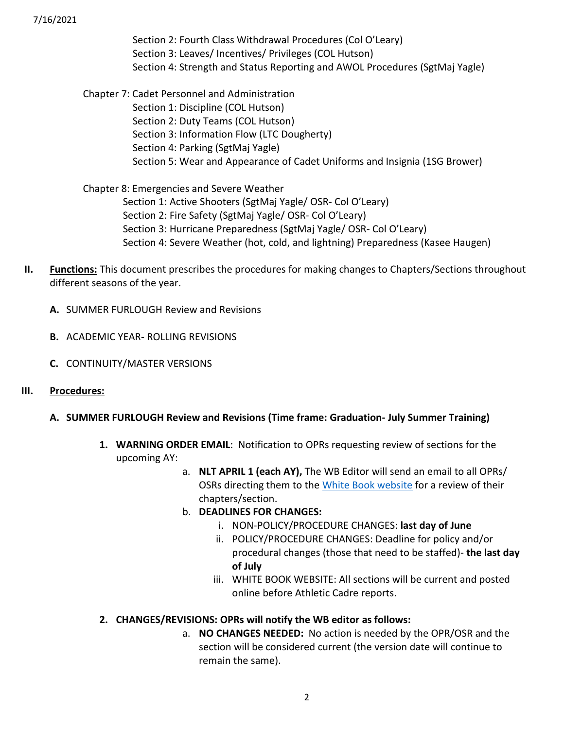7/16/2021

Section 2: Fourth Class Withdrawal Procedures (Col O'Leary) Section 3: Leaves/ Incentives/ Privileges (COL Hutson) Section 4: Strength and Status Reporting and AWOL Procedures (SgtMaj Yagle)

Chapter 7: Cadet Personnel and Administration Section 1: Discipline (COL Hutson) Section 2: Duty Teams (COL Hutson) Section 3: Information Flow (LTC Dougherty) Section 4: Parking (SgtMaj Yagle) Section 5: Wear and Appearance of Cadet Uniforms and Insignia (1SG Brower)

Chapter 8: Emergencies and Severe Weather Section 1: Active Shooters (SgtMaj Yagle/ OSR- Col O'Leary) Section 2: Fire Safety (SgtMaj Yagle/ OSR- Col O'Leary) Section 3: Hurricane Preparedness (SgtMaj Yagle/ OSR- Col O'Leary) Section 4: Severe Weather (hot, cold, and lightning) Preparedness (Kasee Haugen)

- **II. Functions:** This document prescribes the procedures for making changes to Chapters/Sections throughout different seasons of the year.
	- **A.** SUMMER FURLOUGH Review and Revisions
	- **B.** ACADEMIC YEAR- ROLLING REVISIONS
	- **C.** CONTINUITY/MASTER VERSIONS
- **III. Procedures:**
	- **A. SUMMER FURLOUGH Review and Revisions (Time frame: Graduation- July Summer Training)**
		- **1. WARNING ORDER EMAIL**: Notification to OPRs requesting review of sections for the upcoming AY:
			- a. **NLT APRIL 1 (each AY),** The WB Editor will send an email to all OPRs/ OSRs directing them to the [White Book website](https://www.citadel.edu/root/cadet-regulations/the-white-book) for a review of their chapters/section.
			- b. **DEADLINES FOR CHANGES:**
				- i. NON-POLICY/PROCEDURE CHANGES: **last day of June**
				- ii. POLICY/PROCEDURE CHANGES: Deadline for policy and/or procedural changes (those that need to be staffed)- **the last day of July**
				- iii. WHITE BOOK WEBSITE: All sections will be current and posted online before Athletic Cadre reports.

## **2. CHANGES/REVISIONS: OPRs will notify the WB editor as follows:**

a. **NO CHANGES NEEDED:** No action is needed by the OPR/OSR and the section will be considered current (the version date will continue to remain the same).